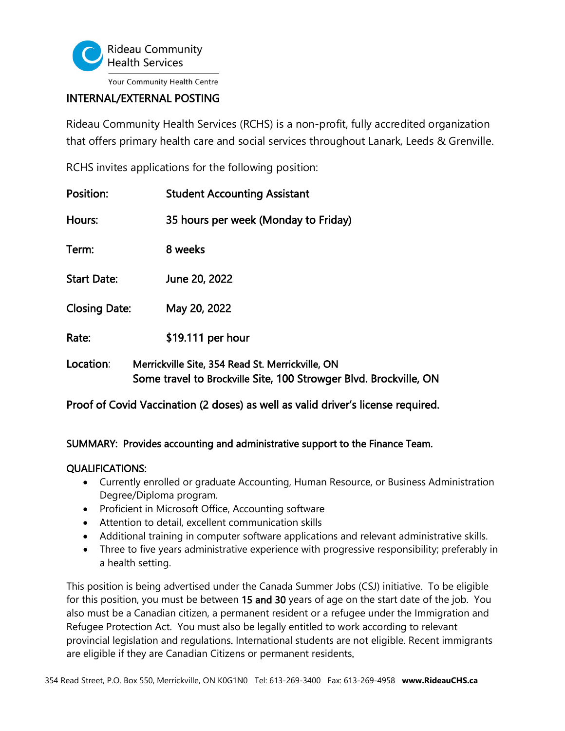

# INTERNAL/EXTERNAL POSTING

Rideau Community Health Services (RCHS) is a non-profit, fully accredited organization that offers primary health care and social services throughout Lanark, Leeds & Grenville.

RCHS invites applications for the following position:

| Position:            | <b>Student Accounting Assistant</b>                                                                                   |
|----------------------|-----------------------------------------------------------------------------------------------------------------------|
| Hours:               | 35 hours per week (Monday to Friday)                                                                                  |
| Term:                | 8 weeks                                                                                                               |
| <b>Start Date:</b>   | June 20, 2022                                                                                                         |
| <b>Closing Date:</b> | May 20, 2022                                                                                                          |
| Rate:                | \$19.111 per hour                                                                                                     |
| Location:            | Merrickville Site, 354 Read St. Merrickville, ON<br>Some travel to Brockville Site, 100 Strowger Blvd. Brockville, ON |

Proof of Covid Vaccination (2 doses) as well as valid driver's license required.

## SUMMARY: Provides accounting and administrative support to the Finance Team.

### QUALIFICATIONS:

- Currently enrolled or graduate Accounting, Human Resource, or Business Administration Degree/Diploma program.
- Proficient in Microsoft Office, Accounting software
- Attention to detail, excellent communication skills
- Additional training in computer software applications and relevant administrative skills.
- Three to five years administrative experience with progressive responsibility; preferably in a health setting.

This position is being advertised under the Canada Summer Jobs (CSJ) initiative. To be eligible for this position, you must be between 15 and 30 years of age on the start date of the job. You also must be a Canadian citizen, a permanent resident or a refugee under the Immigration and Refugee Protection Act. You must also be legally entitled to work according to relevant provincial legislation and regulations. International students are not eligible. Recent immigrants are eligible if they are Canadian Citizens or permanent residents.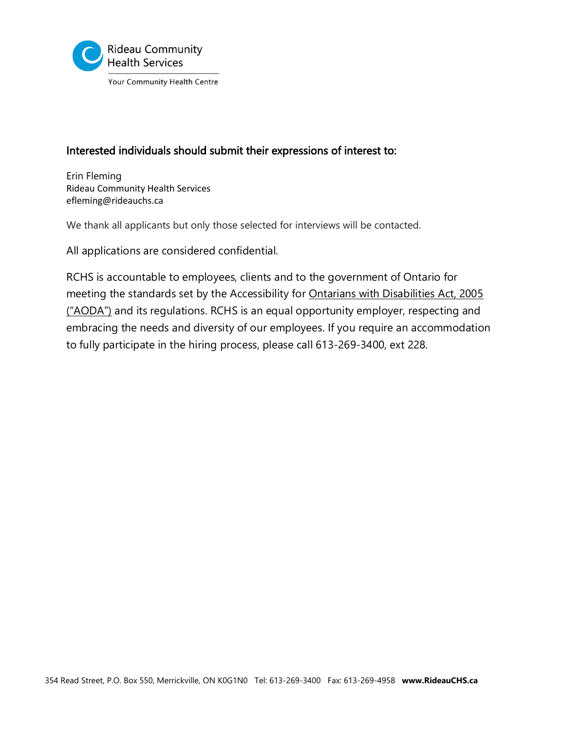

## Interested individuals should submit their expressions of interest to:

Erin Fleming Rideau Community Health Services efleming@rideauchs.ca

We thank all applicants but only those selected for interviews will be contacted.

All applications are considered confidential.

RCHS is accountable to employees, clients and to the government of Ontario for meeting the standards set by the Accessibility for Ontarians with Disabilities Act, 2005 ("AODA") and its regulations. RCHS is an equal opportunity employer, respecting and embracing the needs and diversity of our employees. If you require an accommodation to fully participate in the hiring process, please call 613-269-3400, ext 228.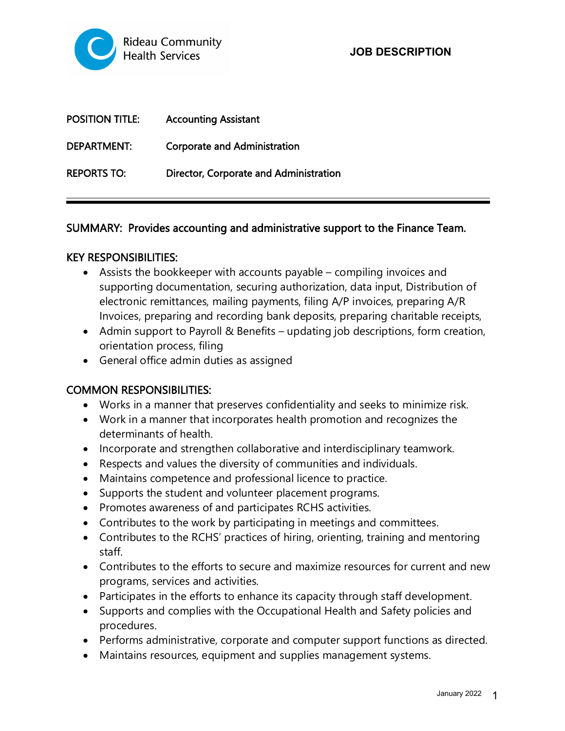

| <b>POSITION TITLE:</b> | <b>Accounting Assistant</b>            |
|------------------------|----------------------------------------|
| <b>DEPARTMENT:</b>     | <b>Corporate and Administration</b>    |
| <b>REPORTS TO:</b>     | Director, Corporate and Administration |

### SUMMARY: Provides accounting and administrative support to the Finance Team.

### KEY RESPONSIBILITIES:

- Assists the bookkeeper with accounts payable compiling invoices and supporting documentation, securing authorization, data input, Distribution of electronic remittances, mailing payments, filing A/P invoices, preparing A/R Invoices, preparing and recording bank deposits, preparing charitable receipts,
- Admin support to Payroll & Benefits updating job descriptions, form creation, orientation process, filing
- General office admin duties as assigned

### COMMON RESPONSIBILITIES:

- Works in a manner that preserves confidentiality and seeks to minimize risk.
- Work in a manner that incorporates health promotion and recognizes the determinants of health.
- Incorporate and strengthen collaborative and interdisciplinary teamwork.
- Respects and values the diversity of communities and individuals.
- Maintains competence and professional licence to practice.
- Supports the student and volunteer placement programs.
- Promotes awareness of and participates RCHS activities.
- Contributes to the work by participating in meetings and committees.
- Contributes to the RCHS' practices of hiring, orienting, training and mentoring staff.
- Contributes to the efforts to secure and maximize resources for current and new programs, services and activities.
- Participates in the efforts to enhance its capacity through staff development.
- Supports and complies with the Occupational Health and Safety policies and procedures.
- Performs administrative, corporate and computer support functions as directed.
- Maintains resources, equipment and supplies management systems.